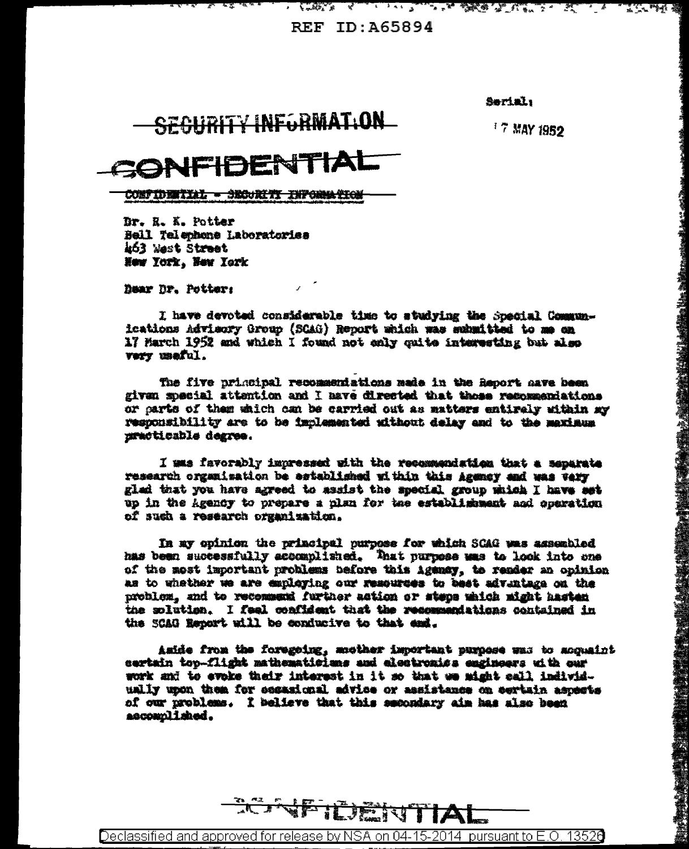**REF ID: A65894** 

Serial:

<u> EST A A FILLE STORE LIBERT A LI</u>

## **SECURITY INFORMATION**

<sup>7</sup> 7 MAY 1952

<u> Tring</u>

「1990年の「大学の大学の研究」ということを、「1990年の1990年の1990年の1990年の1990年の1990年の1990年の1990年に、1990年の1990年に、1990年に、1990年に、1990年に、1990年に、1990年に、1990年に、1990年に、1990年に、1990年に、1990年に、1990年に、1990年に、1990年に、1990年に、1990年に、1990年に、1990年に、1990年に、1990年に

## NFIBENTIA

- 5

CONTIDENTIAL - SECURITI INFORMATION

Dr. R. K. Potter Bell Telephone Laboratoriss 463 West Street How York. New York

Dear Dr. Potter:

I have devoted considerable time to studying the Special Communications Advisory Group (SCAG) Report which was submitted to me on 17 March 1952 and which I found not enly quite interesting but also very useful.

The five principal recommendations made in the Report nave been given special attention and I have directed that those recommendations or carts of them which can be carried out as matters entirely within my responsibility are to be implemented without delay and to the maximum uracticable degree.

I mas favorably impressed with the recommendation that a separate research organisation be astablished within this Agency and was very glad that you have agreed to assist the special group which I have set up in the Agency to prepare a plan for the establishment and operation of such a research organization.

In my opinion the principal purpose for which SCAG was assembled has been successfully accomplished. That purpose was to look into one of the most important problems before this Agency, to render an opinion as to whather we are employing our resources to bast advintage on the problem, and to recommend further action or steps which might hasten the solution. I feel confident that the recommendations contained in the SCAG Report will be conducive to that and.

Aside from the foregoing, mucher important purpose was to acquaint certain top-flight mathematiciums and electronics engineers uith our work and to evoke their interest in it so that we might call individually upon them for occasional advice or assistance on sertain aspects of our problems. I believe that this secondary aim has also been accomplished.



Declassified and approved for release by NSA on 04-15-2014 pursuant to E.O. 13526